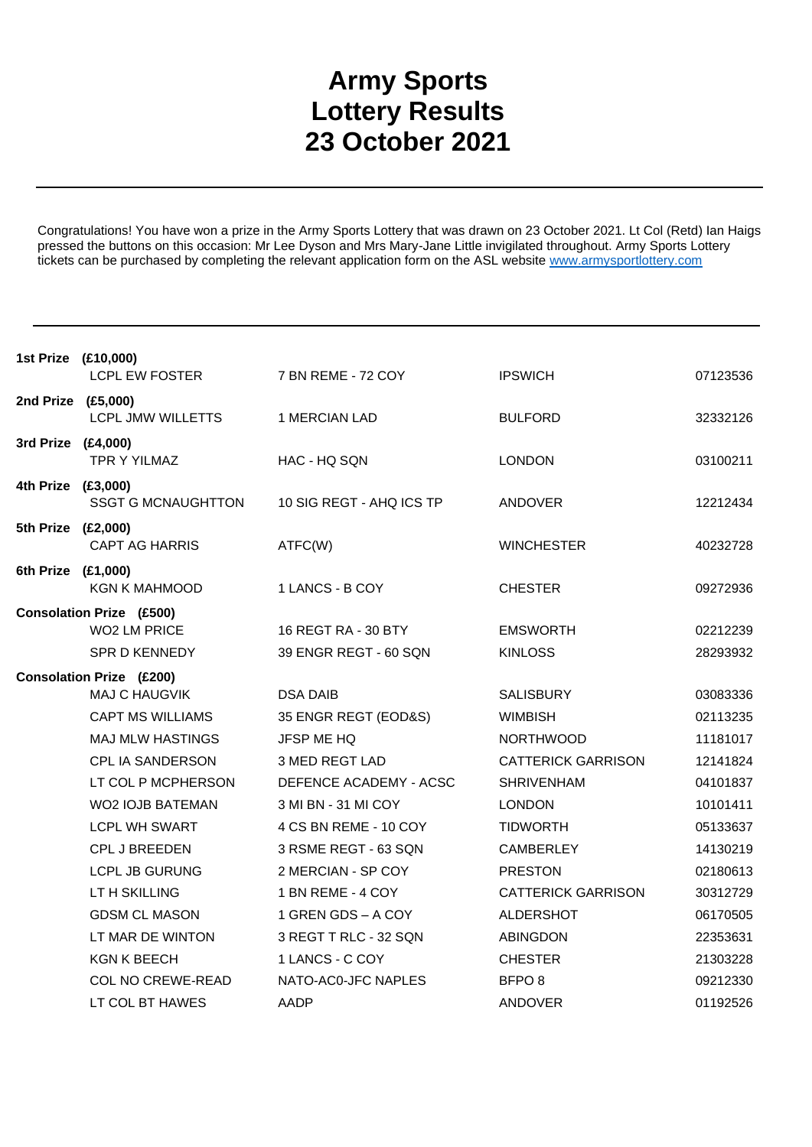## **Army Sports Lottery Results 23 October 2021**

Congratulations! You have won a prize in the Army Sports Lottery that was drawn on 23 October 2021. Lt Col (Retd) Ian Haigs pressed the buttons on this occasion: Mr Lee Dyson and Mrs Mary-Jane Little invigilated throughout. Army Sports Lottery tickets can be purchased by completing the relevant application form on the ASL website www.armysportlottery.com

| 1st Prize (£10,000)             | <b>LCPL EW FOSTER</b>                                  | 7 BN REME - 72 COY       | <b>IPSWICH</b>            | 07123536 |
|---------------------------------|--------------------------------------------------------|--------------------------|---------------------------|----------|
| 2nd Prize (£5,000)              | <b>LCPL JMW WILLETTS</b>                               | 1 MERCIAN LAD            | <b>BULFORD</b>            | 32332126 |
| 3rd Prize (£4,000)              | <b>TPR Y YILMAZ</b>                                    | HAC - HQ SQN             | <b>LONDON</b>             | 03100211 |
| 4th Prize (£3,000)              | <b>SSGT G MCNAUGHTTON</b>                              | 10 SIG REGT - AHQ ICS TP | ANDOVER                   | 12212434 |
| 5th Prize (£2,000)              | <b>CAPT AG HARRIS</b>                                  | ATFC(W)                  | <b>WINCHESTER</b>         | 40232728 |
| 6th Prize (£1,000)              | <b>KGN K MAHMOOD</b>                                   | 1 LANCS - B COY          | <b>CHESTER</b>            | 09272936 |
|                                 | <b>Consolation Prize (£500)</b><br><b>WO2 LM PRICE</b> | 16 REGT RA - 30 BTY      | <b>EMSWORTH</b>           | 02212239 |
|                                 | <b>SPR D KENNEDY</b>                                   | 39 ENGR REGT - 60 SQN    | <b>KINLOSS</b>            | 28293932 |
| <b>Consolation Prize (£200)</b> |                                                        |                          |                           |          |
|                                 | <b>MAJ C HAUGVIK</b>                                   | <b>DSA DAIB</b>          | <b>SALISBURY</b>          | 03083336 |
|                                 | <b>CAPT MS WILLIAMS</b>                                | 35 ENGR REGT (EOD&S)     | <b>WIMBISH</b>            | 02113235 |
|                                 | <b>MAJ MLW HASTINGS</b>                                | <b>JFSP ME HQ</b>        | <b>NORTHWOOD</b>          | 11181017 |
|                                 | <b>CPL IA SANDERSON</b>                                | 3 MED REGT LAD           | <b>CATTERICK GARRISON</b> | 12141824 |
|                                 | LT COL P MCPHERSON                                     | DEFENCE ACADEMY - ACSC   | <b>SHRIVENHAM</b>         | 04101837 |
|                                 | <b>WO2 IOJB BATEMAN</b>                                | 3 MI BN - 31 MI COY      | <b>LONDON</b>             | 10101411 |
|                                 | <b>LCPL WH SWART</b>                                   | 4 CS BN REME - 10 COY    | <b>TIDWORTH</b>           | 05133637 |
|                                 | <b>CPL J BREEDEN</b>                                   | 3 RSME REGT - 63 SQN     | <b>CAMBERLEY</b>          | 14130219 |
|                                 | <b>LCPL JB GURUNG</b>                                  | 2 MERCIAN - SP COY       | <b>PRESTON</b>            | 02180613 |
|                                 | LT H SKILLING                                          | 1 BN REME - 4 COY        | <b>CATTERICK GARRISON</b> | 30312729 |
|                                 | <b>GDSM CL MASON</b>                                   | 1 GREN GDS - A COY       | <b>ALDERSHOT</b>          | 06170505 |
|                                 | LT MAR DE WINTON                                       | 3 REGT T RLC - 32 SQN    | <b>ABINGDON</b>           | 22353631 |
|                                 | <b>KGN K BEECH</b>                                     | 1 LANCS - C COY          | <b>CHESTER</b>            | 21303228 |
|                                 | <b>COL NO CREWE-READ</b>                               | NATO-AC0-JFC NAPLES      | BFPO <sub>8</sub>         | 09212330 |
|                                 | LT COL BT HAWES                                        | AADP                     | <b>ANDOVER</b>            | 01192526 |